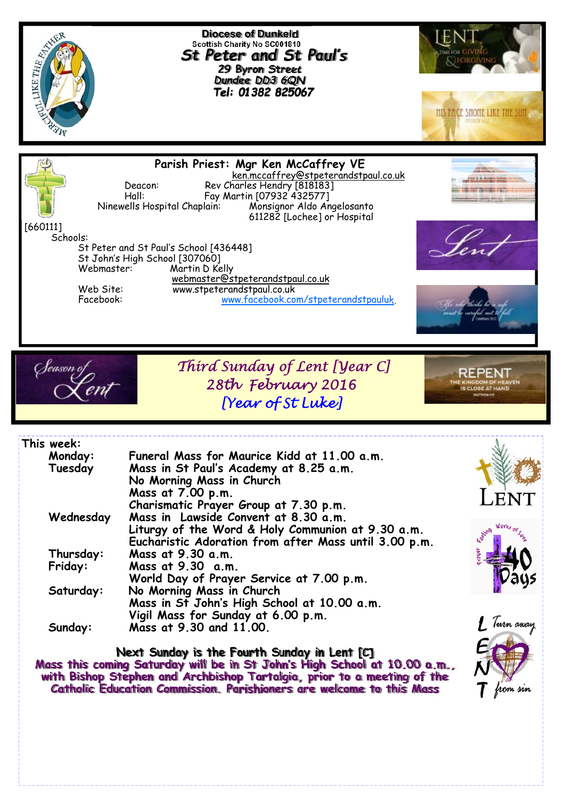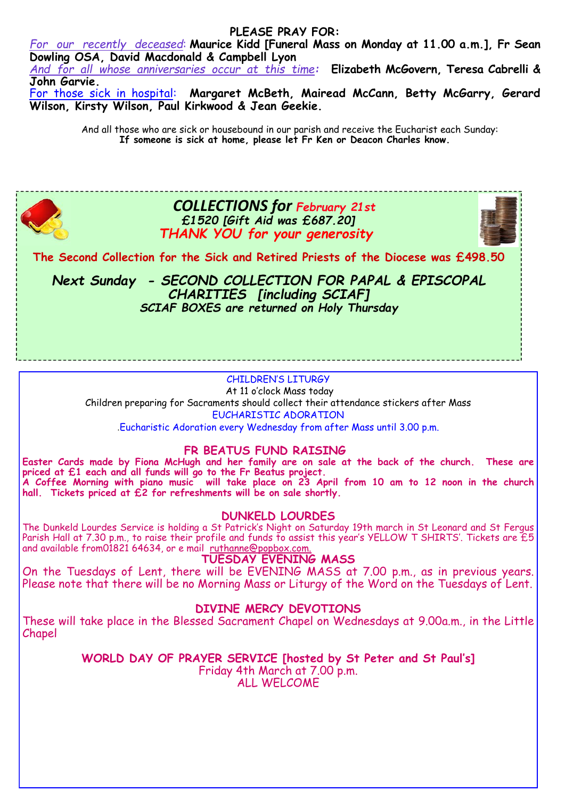#### **PLEASE PRAY FOR:**

*For our recently deceased*: **Maurice Kidd [Funeral Mass on Monday at 11.00 a.m.], Fr Sean Dowling OSA, David Macdonald & Campbell Lyon**  *And for all whose anniversaries occur at this time:* **Elizabeth McGovern, Teresa Cabrelli &** 

**John Garvie.** 

For those sick in hospital: **Margaret McBeth, Mairead McCann, Betty McGarry, Gerard Wilson, Kirsty Wilson, Paul Kirkwood & Jean Geekie.** 

> And all those who are sick or housebound in our parish and receive the Eucharist each Sunday: **If someone is sick at home, please let Fr Ken or Deacon Charles know.**



## *COLLECTIONS for February 21st £1520 [Gift Aid was £687.20] THANK YOU for your generosity*

**The Second Collection for the Sick and Retired Priests of the Diocese was £498.50** 

*Next Sunday - SECOND COLLECTION FOR PAPAL & EPISCOPAL CHARITIES [including SCIAF] SCIAF BOXES are returned on Holy Thursday* 

## CHILDREN'S LITURGY

 At 11 o'clock Mass today Children preparing for Sacraments should collect their attendance stickers after Mass EUCHARISTIC ADORATION

.Eucharistic Adoration every Wednesday from after Mass until 3.00 p.m.

## **FR BEATUS FUND RAISING**

**Easter Cards made by Fiona McHugh and her family are on sale at the back of the church. These are priced at £1 each and all funds will go to the Fr Beatus project. A Coffee Morning with piano music will take place on 23 April from 10 am to 12 noon in the church hall. Tickets priced at £2 for refreshments will be on sale shortly.**

## **DUNKELD LOURDES**

The Dunkeld Lourdes Service is holding a St Patrick's Night on Saturday 19th march in St Leonard and St Fergus Parish Hall at 7.30 p.m., to raise their profile and funds to assist this year's YELLOW T SHIRTS'. Tickets are £5 and available from01821 64634, or e mail ruthanne@popbox.com.

## **TUESDAY EVENING MASS**

On the Tuesdays of Lent, there will be EVENING MASS at 7.00 p.m., as in previous years. Please note that there will be no Morning Mass or Liturgy of the Word on the Tuesdays of Lent.

## **DIVINE MERCY DEVOTIONS**

These will take place in the Blessed Sacrament Chapel on Wednesdays at 9.00a.m., in the Little Chapel

> **WORLD DAY OF PRAYER SERVICE [hosted by St Peter and St Paul's]**  Friday 4th March at 7.00 p.m. ALL WELCOME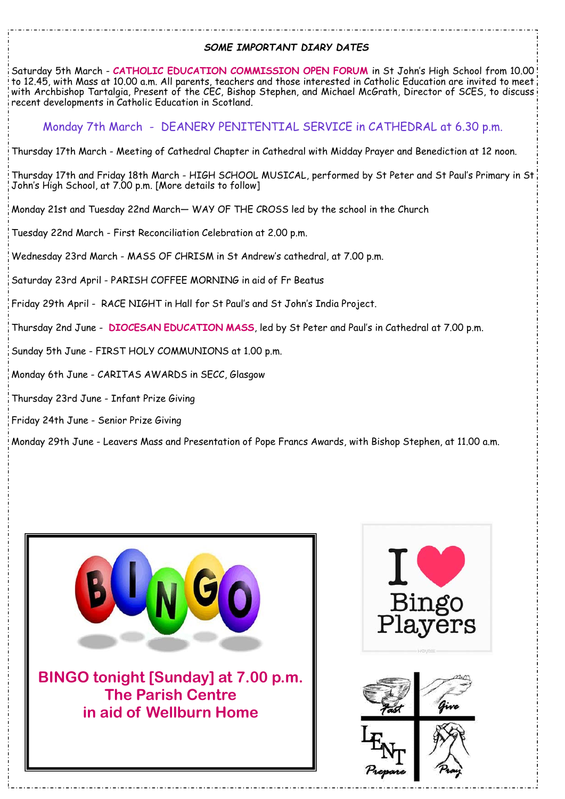## *SOME IMPORTANT DIARY DATES*

Saturday 5th March - **CATHOLIC EDUCATION COMMISSION OPEN FORUM** in St John's High School from 10.00 to 12.45, with Mass at 10.00 a.m. All parents, teachers and those interested in Catholic Education are invited to meet with Archbishop Tartalgia, Present of the CEC, Bishop Stephen, and Michael McGrath, Director of SCES, to discuss recent developments in Catholic Education in Scotland.

Monday 7th March - DEANERY PENITENTIAL SERVICE in CATHEDRAL at 6.30 p.m.

Thursday 17th March - Meeting of Cathedral Chapter in Cathedral with Midday Prayer and Benediction at 12 noon.

Thursday 17th and Friday 18th March - HIGH SCHOOL MUSICAL, performed by St Peter and St Paul's Primary in St John's High School, at 7.00 p.m. [More details to follow]

Monday 21st and Tuesday 22nd March— WAY OF THE CROSS led by the school in the Church

Tuesday 22nd March - First Reconciliation Celebration at 2.00 p.m.

Wednesday 23rd March - MASS OF CHRISM in St Andrew's cathedral, at 7.00 p.m.

Saturday 23rd April - PARISH COFFEE MORNING in aid of Fr Beatus

Friday 29th April - RACE NIGHT in Hall for St Paul's and St John's India Project.

Thursday 2nd June - **DIOCESAN EDUCATION MASS**, led by St Peter and Paul's in Cathedral at 7.00 p.m.

Sunday 5th June - FIRST HOLY COMMUNIONS at 1.00 p.m.

Monday 6th June - CARITAS AWARDS in SECC, Glasgow

Thursday 23rd June - Infant Prize Giving

Friday 24th June - Senior Prize Giving

Monday 29th June - Leavers Mass and Presentation of Pope Francs Awards, with Bishop Stephen, at 11.00 a.m.